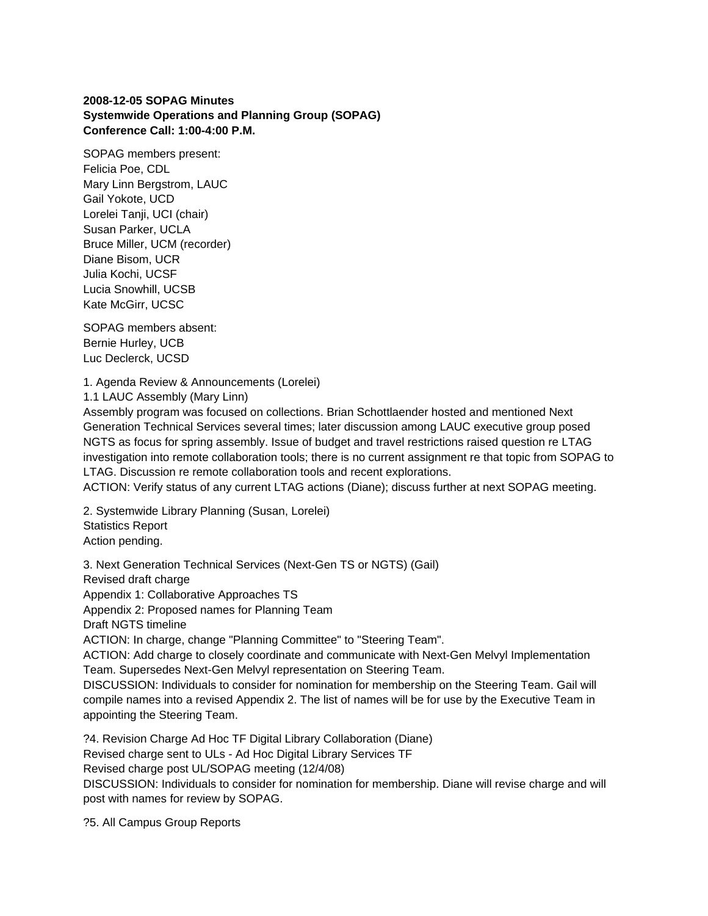## **2008-12-05 SOPAG Minutes Systemwide Operations and Planning Group (SOPAG) Conference Call: 1:00-4:00 P.M.**

SOPAG members present: Felicia Poe, CDL Mary Linn Bergstrom, LAUC Gail Yokote, UCD Lorelei Tanji, UCI (chair) Susan Parker, UCLA Bruce Miller, UCM (recorder) Diane Bisom, UCR Julia Kochi, UCSF Lucia Snowhill, UCSB Kate McGirr, UCSC

SOPAG members absent: Bernie Hurley, UCB Luc Declerck, UCSD

1. Agenda Review & Announcements (Lorelei)

1.1 LAUC Assembly (Mary Linn)

Assembly program was focused on collections. Brian Schottlaender hosted and mentioned Next Generation Technical Services several times; later discussion among LAUC executive group posed NGTS as focus for spring assembly. Issue of budget and travel restrictions raised question re LTAG investigation into remote collaboration tools; there is no current assignment re that topic from SOPAG to LTAG. Discussion re remote collaboration tools and recent explorations.

ACTION: Verify status of any current LTAG actions (Diane); discuss further at next SOPAG meeting.

2. Systemwide Library Planning (Susan, Lorelei) Statistics Report Action pending.

3. Next Generation Technical Services (Next-Gen TS or NGTS) (Gail) Revised draft charge Appendix 1: Collaborative Approaches TS Appendix 2: Proposed names for Planning Team Draft NGTS timeline ACTION: In charge, change "Planning Committee" to "Steering Team". ACTION: Add charge to closely coordinate and communicate with Next-Gen Melvyl Implementation Team. Supersedes Next-Gen Melvyl representation on Steering Team. DISCUSSION: Individuals to consider for nomination for membership on the Steering Team. Gail will compile names into a revised Appendix 2. The list of names will be for use by the Executive Team in appointing the Steering Team.

?4. Revision Charge Ad Hoc TF Digital Library Collaboration (Diane) Revised charge sent to ULs - Ad Hoc Digital Library Services TF Revised charge post UL/SOPAG meeting (12/4/08) DISCUSSION: Individuals to consider for nomination for membership. Diane will revise charge and will post with names for review by SOPAG.

?5. All Campus Group Reports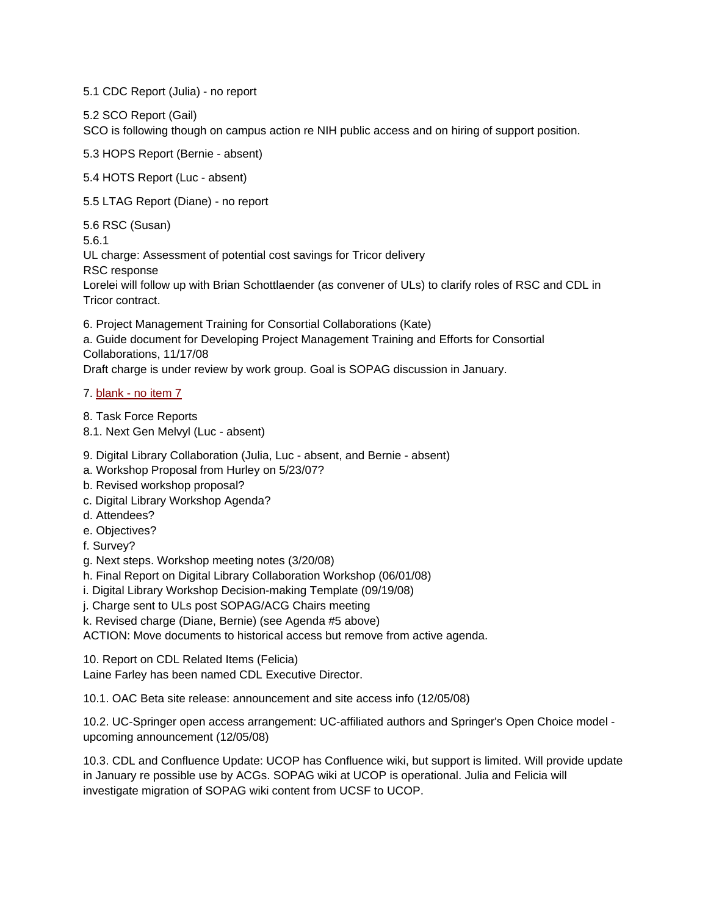5.1 CDC Report (Julia) - no report

5.2 SCO Report (Gail)

SCO is following though on campus action re NIH public access and on hiring of support position.

5.3 HOPS Report (Bernie - absent)

5.4 HOTS Report (Luc - absent)

5.5 LTAG Report (Diane) - no report

5.6 RSC (Susan)

5.6.1

UL charge: Assessment of potential cost savings for Tricor delivery

RSC response

Lorelei will follow up with Brian Schottlaender (as convener of ULs) to clarify roles of RSC and CDL in Tricor contract.

6. Project Management Training for Consortial Collaborations (Kate)

a. Guide document for Developing Project Management Training and Efforts for Consortial Collaborations, 11/17/08

Draft charge is under review by work group. Goal is SOPAG discussion in January.

7. blank - no item 7

8. Task Force Reports 8.1. Next Gen Melvyl (Luc - absent)

- 9. Digital Library Collaboration (Julia, Luc absent, and Bernie absent)
- a. Workshop Proposal from Hurley on 5/23/07?
- b. Revised workshop proposal?
- c. Digital Library Workshop Agenda?
- d. Attendees?
- e. Objectives?
- f. Survey?
- g. Next steps. Workshop meeting notes (3/20/08)

h. Final Report on Digital Library Collaboration Workshop (06/01/08)

i. Digital Library Workshop Decision-making Template (09/19/08)

j. Charge sent to ULs post SOPAG/ACG Chairs meeting

k. Revised charge (Diane, Bernie) (see Agenda #5 above)

ACTION: Move documents to historical access but remove from active agenda.

10. Report on CDL Related Items (Felicia)

Laine Farley has been named CDL Executive Director.

10.1. OAC Beta site release: announcement and site access info (12/05/08)

10.2. UC-Springer open access arrangement: UC-affiliated authors and Springer's Open Choice model upcoming announcement (12/05/08)

10.3. CDL and Confluence Update: UCOP has Confluence wiki, but support is limited. Will provide update in January re possible use by ACGs. SOPAG wiki at UCOP is operational. Julia and Felicia will investigate migration of SOPAG wiki content from UCSF to UCOP.